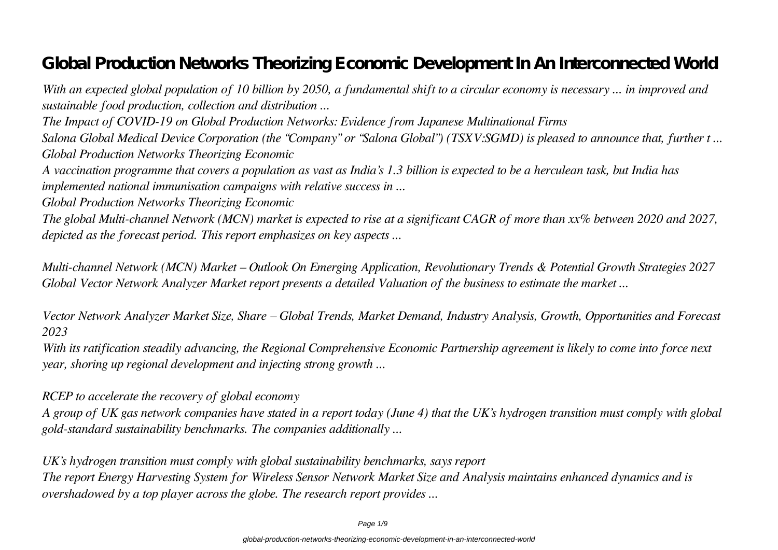# **Global Production Networks Theorizing Economic Development In An Interconnected World**

*With an expected global population of 10 billion by 2050, a fundamental shift to a circular economy is necessary ... in improved and sustainable food production, collection and distribution ...*

*The Impact of COVID-19 on Global Production Networks: Evidence from Japanese Multinational Firms*

*Salona Global Medical Device Corporation (the "Company" or "Salona Global") (TSXV:SGMD) is pleased to announce that, further t ... Global Production Networks Theorizing Economic*

*A vaccination programme that covers a population as vast as India's 1.3 billion is expected to be a herculean task, but India has implemented national immunisation campaigns with relative success in ...*

*Global Production Networks Theorizing Economic*

*The global Multi-channel Network (MCN) market is expected to rise at a significant CAGR of more than xx% between 2020 and 2027, depicted as the forecast period. This report emphasizes on key aspects ...*

*Multi-channel Network (MCN) Market – Outlook On Emerging Application, Revolutionary Trends & Potential Growth Strategies 2027 Global Vector Network Analyzer Market report presents a detailed Valuation of the business to estimate the market ...*

*Vector Network Analyzer Market Size, Share – Global Trends, Market Demand, Industry Analysis, Growth, Opportunities and Forecast 2023*

*With its ratification steadily advancing, the Regional Comprehensive Economic Partnership agreement is likely to come into force next year, shoring up regional development and injecting strong growth ...*

# *RCEP to accelerate the recovery of global economy*

*A group of UK gas network companies have stated in a report today (June 4) that the UK's hydrogen transition must comply with global gold-standard sustainability benchmarks. The companies additionally ...*

*UK's hydrogen transition must comply with global sustainability benchmarks, says report The report Energy Harvesting System for Wireless Sensor Network Market Size and Analysis maintains enhanced dynamics and is overshadowed by a top player across the globe. The research report provides ...*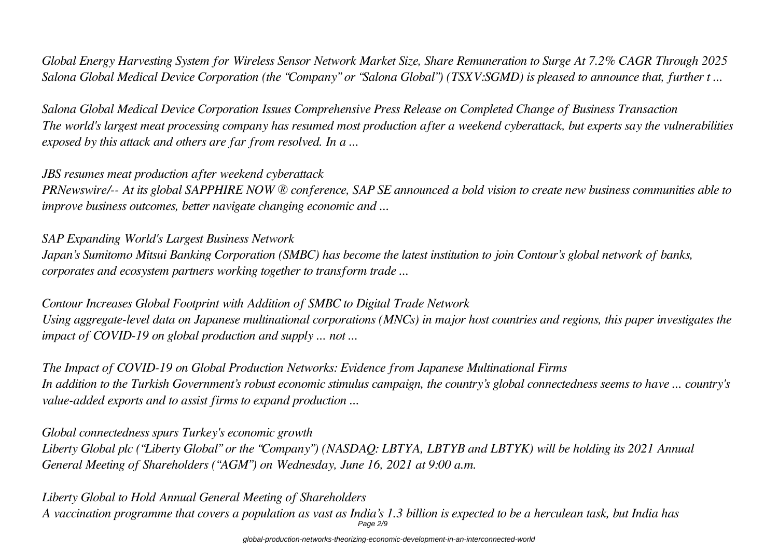*Global Energy Harvesting System for Wireless Sensor Network Market Size, Share Remuneration to Surge At 7.2% CAGR Through 2025 Salona Global Medical Device Corporation (the "Company" or "Salona Global") (TSXV:SGMD) is pleased to announce that, further t ...*

*Salona Global Medical Device Corporation Issues Comprehensive Press Release on Completed Change of Business Transaction The world's largest meat processing company has resumed most production after a weekend cyberattack, but experts say the vulnerabilities exposed by this attack and others are far from resolved. In a ...*

# *JBS resumes meat production after weekend cyberattack*

*PRNewswire/-- At its global SAPPHIRE NOW ® conference, SAP SE announced a bold vision to create new business communities able to improve business outcomes, better navigate changing economic and ...*

# *SAP Expanding World's Largest Business Network*

*Japan's Sumitomo Mitsui Banking Corporation (SMBC) has become the latest institution to join Contour's global network of banks, corporates and ecosystem partners working together to transform trade ...*

# *Contour Increases Global Footprint with Addition of SMBC to Digital Trade Network*

*Using aggregate-level data on Japanese multinational corporations (MNCs) in major host countries and regions, this paper investigates the impact of COVID-19 on global production and supply ... not ...*

*The Impact of COVID-19 on Global Production Networks: Evidence from Japanese Multinational Firms In addition to the Turkish Government's robust economic stimulus campaign, the country's global connectedness seems to have ... country's value-added exports and to assist firms to expand production ...*

# *Global connectedness spurs Turkey's economic growth*

*Liberty Global plc ("Liberty Global" or the "Company") (NASDAQ: LBTYA, LBTYB and LBTYK) will be holding its 2021 Annual General Meeting of Shareholders ("AGM") on Wednesday, June 16, 2021 at 9:00 a.m.*

*Liberty Global to Hold Annual General Meeting of Shareholders*

*A vaccination programme that covers a population as vast as India's 1.3 billion is expected to be a herculean task, but India has* Page 2/9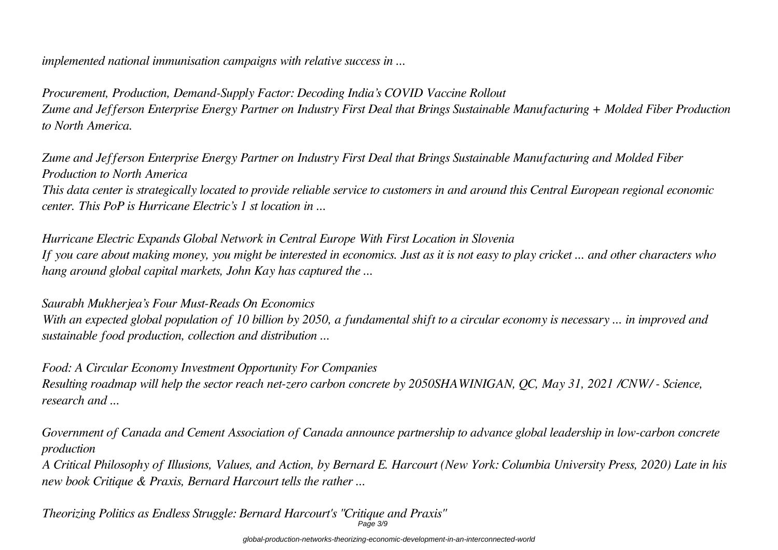*implemented national immunisation campaigns with relative success in ...*

*Procurement, Production, Demand-Supply Factor: Decoding India's COVID Vaccine Rollout Zume and Jefferson Enterprise Energy Partner on Industry First Deal that Brings Sustainable Manufacturing + Molded Fiber Production to North America.*

*Zume and Jefferson Enterprise Energy Partner on Industry First Deal that Brings Sustainable Manufacturing and Molded Fiber Production to North America*

*This data center is strategically located to provide reliable service to customers in and around this Central European regional economic center. This PoP is Hurricane Electric's 1 st location in ...*

*Hurricane Electric Expands Global Network in Central Europe With First Location in Slovenia If you care about making money, you might be interested in economics. Just as it is not easy to play cricket ... and other characters who hang around global capital markets, John Kay has captured the ...*

# *Saurabh Mukherjea's Four Must-Reads On Economics*

*With an expected global population of 10 billion by 2050, a fundamental shift to a circular economy is necessary ... in improved and sustainable food production, collection and distribution ...*

*Food: A Circular Economy Investment Opportunity For Companies Resulting roadmap will help the sector reach net-zero carbon concrete by 2050SHAWINIGAN, QC, May 31, 2021 /CNW/ - Science, research and ...*

*Government of Canada and Cement Association of Canada announce partnership to advance global leadership in low-carbon concrete production*

*A Critical Philosophy of Illusions, Values, and Action, by Bernard E. Harcourt (New York: Columbia University Press, 2020) Late in his new book Critique & Praxis, Bernard Harcourt tells the rather ...*

*Theorizing Politics as Endless Struggle: Bernard Harcourt's "Critique and Praxis"*  $Pa\bar{a}e\bar{a}$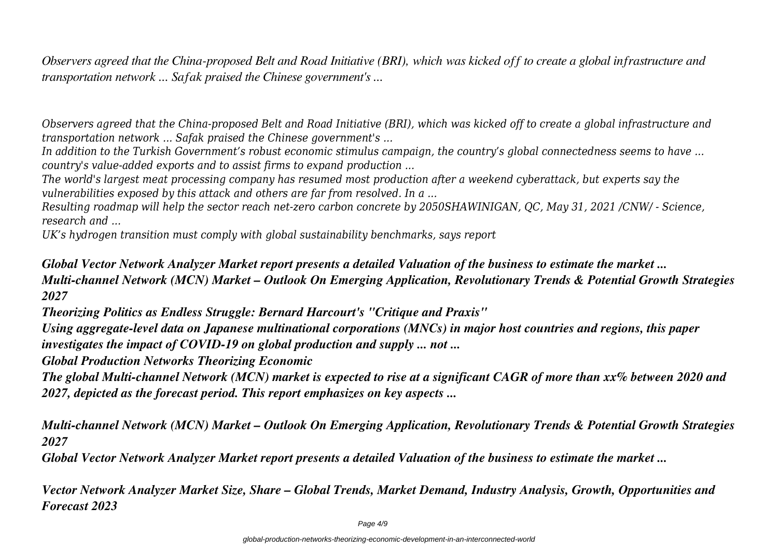*Observers agreed that the China-proposed Belt and Road Initiative (BRI), which was kicked off to create a global infrastructure and transportation network ... Safak praised the Chinese government's ...*

*Observers agreed that the China-proposed Belt and Road Initiative (BRI), which was kicked off to create a global infrastructure and transportation network ... Safak praised the Chinese government's ...*

*In addition to the Turkish Government's robust economic stimulus campaign, the country's global connectedness seems to have ... country's value-added exports and to assist firms to expand production ...*

*The world's largest meat processing company has resumed most production after a weekend cyberattack, but experts say the vulnerabilities exposed by this attack and others are far from resolved. In a ...*

*Resulting roadmap will help the sector reach net-zero carbon concrete by 2050SHAWINIGAN, QC, May 31, 2021 /CNW/ - Science, research and ...*

*UK's hydrogen transition must comply with global sustainability benchmarks, says report*

# *Global Vector Network Analyzer Market report presents a detailed Valuation of the business to estimate the market ... Multi-channel Network (MCN) Market – Outlook On Emerging Application, Revolutionary Trends & Potential Growth Strategies 2027*

*Theorizing Politics as Endless Struggle: Bernard Harcourt's "Critique and Praxis"*

*Using aggregate-level data on Japanese multinational corporations (MNCs) in major host countries and regions, this paper investigates the impact of COVID-19 on global production and supply ... not ...*

*Global Production Networks Theorizing Economic*

*The global Multi-channel Network (MCN) market is expected to rise at a significant CAGR of more than xx% between 2020 and 2027, depicted as the forecast period. This report emphasizes on key aspects ...*

*Multi-channel Network (MCN) Market – Outlook On Emerging Application, Revolutionary Trends & Potential Growth Strategies 2027*

*Global Vector Network Analyzer Market report presents a detailed Valuation of the business to estimate the market ...*

*Vector Network Analyzer Market Size, Share – Global Trends, Market Demand, Industry Analysis, Growth, Opportunities and Forecast 2023*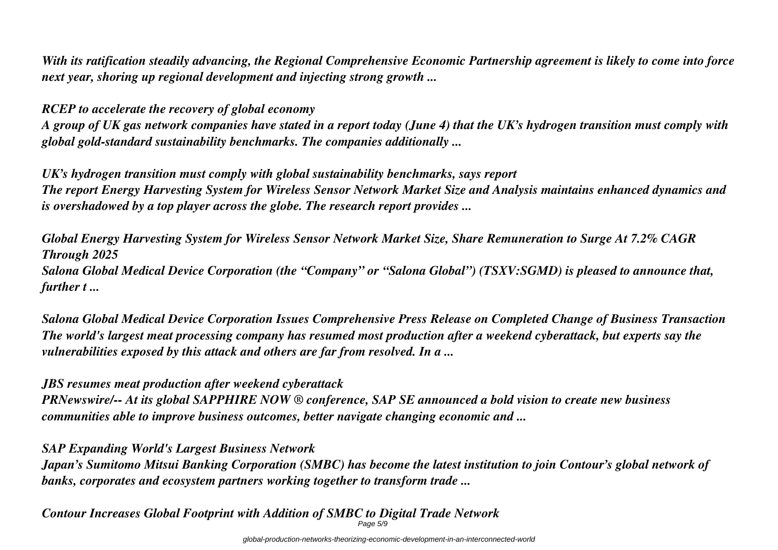*With its ratification steadily advancing, the Regional Comprehensive Economic Partnership agreement is likely to come into force next year, shoring up regional development and injecting strong growth ...*

*RCEP to accelerate the recovery of global economy*

*A group of UK gas network companies have stated in a report today (June 4) that the UK's hydrogen transition must comply with global gold-standard sustainability benchmarks. The companies additionally ...*

*UK's hydrogen transition must comply with global sustainability benchmarks, says report The report Energy Harvesting System for Wireless Sensor Network Market Size and Analysis maintains enhanced dynamics and is overshadowed by a top player across the globe. The research report provides ...*

*Global Energy Harvesting System for Wireless Sensor Network Market Size, Share Remuneration to Surge At 7.2% CAGR Through 2025 Salona Global Medical Device Corporation (the "Company" or "Salona Global") (TSXV:SGMD) is pleased to announce that, further t ...*

*Salona Global Medical Device Corporation Issues Comprehensive Press Release on Completed Change of Business Transaction The world's largest meat processing company has resumed most production after a weekend cyberattack, but experts say the vulnerabilities exposed by this attack and others are far from resolved. In a ...*

*JBS resumes meat production after weekend cyberattack PRNewswire/-- At its global SAPPHIRE NOW ® conference, SAP SE announced a bold vision to create new business communities able to improve business outcomes, better navigate changing economic and ...*

*SAP Expanding World's Largest Business Network*

*Japan's Sumitomo Mitsui Banking Corporation (SMBC) has become the latest institution to join Contour's global network of banks, corporates and ecosystem partners working together to transform trade ...*

*Contour Increases Global Footprint with Addition of SMBC to Digital Trade Network* Page 5/9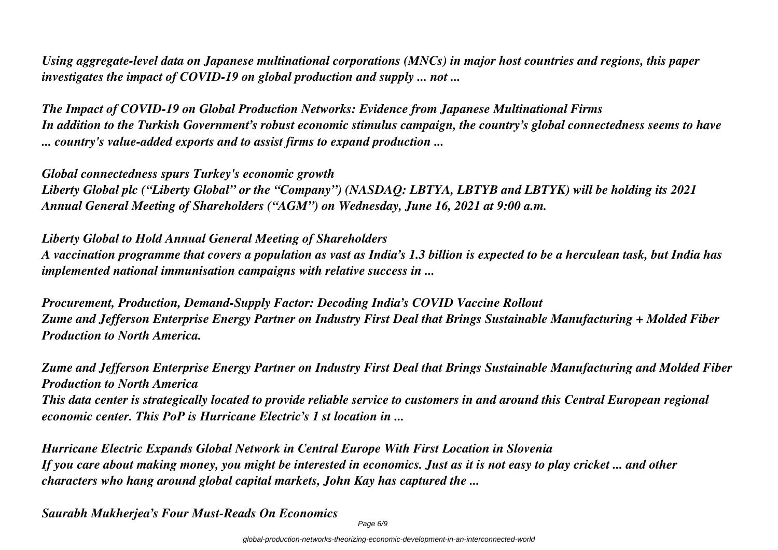*Using aggregate-level data on Japanese multinational corporations (MNCs) in major host countries and regions, this paper investigates the impact of COVID-19 on global production and supply ... not ...*

*The Impact of COVID-19 on Global Production Networks: Evidence from Japanese Multinational Firms In addition to the Turkish Government's robust economic stimulus campaign, the country's global connectedness seems to have ... country's value-added exports and to assist firms to expand production ...*

*Global connectedness spurs Turkey's economic growth*

*Liberty Global plc ("Liberty Global" or the "Company") (NASDAQ: LBTYA, LBTYB and LBTYK) will be holding its 2021 Annual General Meeting of Shareholders ("AGM") on Wednesday, June 16, 2021 at 9:00 a.m.*

*Liberty Global to Hold Annual General Meeting of Shareholders*

*A vaccination programme that covers a population as vast as India's 1.3 billion is expected to be a herculean task, but India has implemented national immunisation campaigns with relative success in ...*

*Procurement, Production, Demand-Supply Factor: Decoding India's COVID Vaccine Rollout Zume and Jefferson Enterprise Energy Partner on Industry First Deal that Brings Sustainable Manufacturing + Molded Fiber Production to North America.*

*Zume and Jefferson Enterprise Energy Partner on Industry First Deal that Brings Sustainable Manufacturing and Molded Fiber Production to North America This data center is strategically located to provide reliable service to customers in and around this Central European regional economic center. This PoP is Hurricane Electric's 1 st location in ...*

*Hurricane Electric Expands Global Network in Central Europe With First Location in Slovenia If you care about making money, you might be interested in economics. Just as it is not easy to play cricket ... and other characters who hang around global capital markets, John Kay has captured the ...*

*Saurabh Mukherjea's Four Must-Reads On Economics*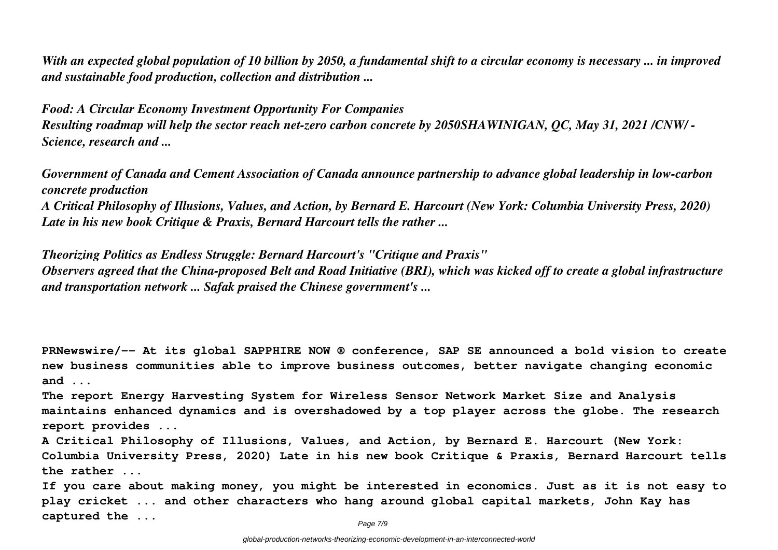*With an expected global population of 10 billion by 2050, a fundamental shift to a circular economy is necessary ... in improved and sustainable food production, collection and distribution ...*

*Food: A Circular Economy Investment Opportunity For Companies Resulting roadmap will help the sector reach net-zero carbon concrete by 2050SHAWINIGAN, QC, May 31, 2021 /CNW/ - Science, research and ...*

*Government of Canada and Cement Association of Canada announce partnership to advance global leadership in low-carbon concrete production*

*A Critical Philosophy of Illusions, Values, and Action, by Bernard E. Harcourt (New York: Columbia University Press, 2020) Late in his new book Critique & Praxis, Bernard Harcourt tells the rather ...*

*Theorizing Politics as Endless Struggle: Bernard Harcourt's "Critique and Praxis" Observers agreed that the China-proposed Belt and Road Initiative (BRI), which was kicked off to create a global infrastructure and transportation network ... Safak praised the Chinese government's ...*

**PRNewswire/-- At its global SAPPHIRE NOW ® conference, SAP SE announced a bold vision to create new business communities able to improve business outcomes, better navigate changing economic and ...**

**The report Energy Harvesting System for Wireless Sensor Network Market Size and Analysis maintains enhanced dynamics and is overshadowed by a top player across the globe. The research report provides ...**

**A Critical Philosophy of Illusions, Values, and Action, by Bernard E. Harcourt (New York: Columbia University Press, 2020) Late in his new book Critique & Praxis, Bernard Harcourt tells the rather ...**

**If you care about making money, you might be interested in economics. Just as it is not easy to play cricket ... and other characters who hang around global capital markets, John Kay has captured the ...**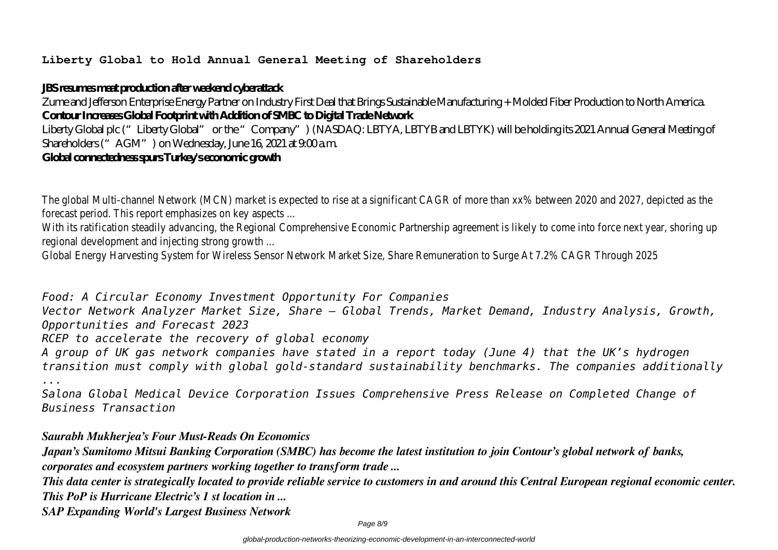### **Liberty Global to Hold Annual General Meeting of Shareholders**

### **JBS resumes meat production after weekend cyberattack**

Zume and Jefferson Enterprise Energy Partner on Industry First Deal that Brings Sustainable Manufacturing + Molded Fiber Production to North America. **Contour Increases Global Footprint with Addition of SMBC to Digital Trade Network**

Liberty Global plc ("Liberty Global" or the "Company") (NASDAQ: LBTYA, LBTYB and LBTYK) will be holding its 2021 Annual General Meeting of Shareholders ("AGM") on Wednesday, June 16, 2021 at 9:00 a.m.

# **Global connectedness spurs Turkey's economic growth**

The global Multi-channel Network (MCN) market is expected to rise at a significant CAGR of more than xx% between 2020 and 2027, depicted as forecast period. This report emphasizes on key aspects ...

With its ratification steadily advancing, the Regional Comprehensive Economic Partnership agreement is likely to come into force next year, shoring regional development and injecting strong growth ...

Global Energy Harvesting System for Wireless Sensor Network Market Size, Share Remuneration to Surge At 7.2% CAGR Through 2025

*Food: A Circular Economy Investment Opportunity For Companies Vector Network Analyzer Market Size, Share – Global Trends, Market Demand, Industry Analysis, Growth, Opportunities and Forecast 2023 RCEP to accelerate the recovery of global economy A group of UK gas network companies have stated in a report today (June 4) that the UK's hydrogen transition must comply with global gold-standard sustainability benchmarks. The companies additionally ...*

*Salona Global Medical Device Corporation Issues Comprehensive Press Release on Completed Change of Business Transaction*

*Saurabh Mukherjea's Four Must-Reads On Economics*

*Japan's Sumitomo Mitsui Banking Corporation (SMBC) has become the latest institution to join Contour's global network of banks, corporates and ecosystem partners working together to transform trade ...*

*This data center is strategically located to provide reliable service to customers in and around this Central European regional economic center. This PoP is Hurricane Electric's 1 st location in ...*

*SAP Expanding World's Largest Business Network*